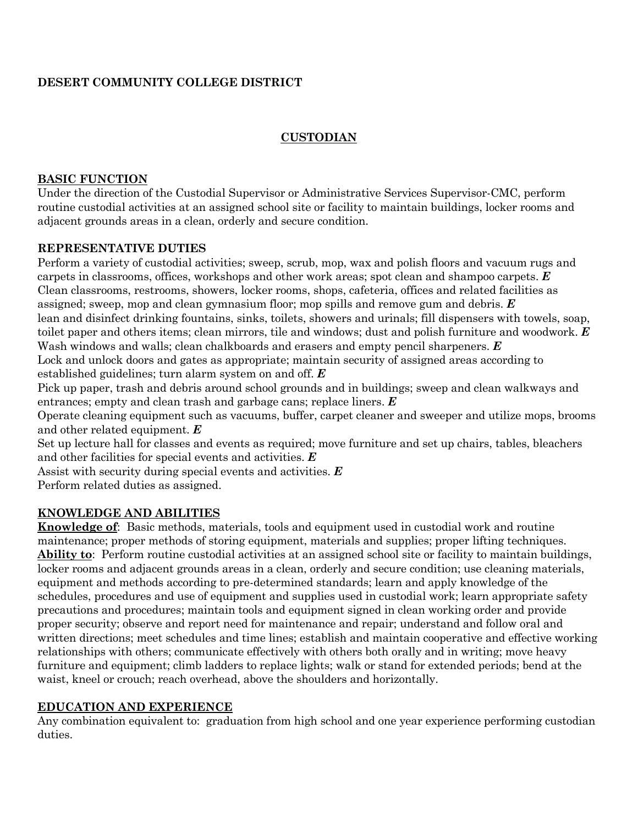# **DESERT COMMUNITY COLLEGE DISTRICT**

#### **CUSTODIAN**

#### **BASIC FUNCTION**

Under the direction of the Custodial Supervisor or Administrative Services Supervisor-CMC, perform routine custodial activities at an assigned school site or facility to maintain buildings, locker rooms and adjacent grounds areas in a clean, orderly and secure condition.

#### **REPRESENTATIVE DUTIES**

Perform a variety of custodial activities; sweep, scrub, mop, wax and polish floors and vacuum rugs and carpets in classrooms, offices, workshops and other work areas; spot clean and shampoo carpets. *E* Clean classrooms, restrooms, showers, locker rooms, shops, cafeteria, offices and related facilities as assigned; sweep, mop and clean gymnasium floor; mop spills and remove gum and debris. *E* lean and disinfect drinking fountains, sinks, toilets, showers and urinals; fill dispensers with towels, soap, toilet paper and others items; clean mirrors, tile and windows; dust and polish furniture and woodwork. *E* Wash windows and walls; clean chalkboards and erasers and empty pencil sharpeners. *E* Lock and unlock doors and gates as appropriate; maintain security of assigned areas according to established guidelines; turn alarm system on and off. *E*

Pick up paper, trash and debris around school grounds and in buildings; sweep and clean walkways and entrances; empty and clean trash and garbage cans; replace liners. *E*

Operate cleaning equipment such as vacuums, buffer, carpet cleaner and sweeper and utilize mops, brooms and other related equipment. *E*

Set up lecture hall for classes and events as required; move furniture and set up chairs, tables, bleachers and other facilities for special events and activities. *E*

Assist with security during special events and activities. *E*

Perform related duties as assigned.

## **KNOWLEDGE AND ABILITIES**

**Knowledge of**: Basic methods, materials, tools and equipment used in custodial work and routine maintenance; proper methods of storing equipment, materials and supplies; proper lifting techniques. **Ability to**: Perform routine custodial activities at an assigned school site or facility to maintain buildings, locker rooms and adjacent grounds areas in a clean, orderly and secure condition; use cleaning materials, equipment and methods according to pre-determined standards; learn and apply knowledge of the schedules, procedures and use of equipment and supplies used in custodial work; learn appropriate safety precautions and procedures; maintain tools and equipment signed in clean working order and provide proper security; observe and report need for maintenance and repair; understand and follow oral and written directions; meet schedules and time lines; establish and maintain cooperative and effective working relationships with others; communicate effectively with others both orally and in writing; move heavy furniture and equipment; climb ladders to replace lights; walk or stand for extended periods; bend at the waist, kneel or crouch; reach overhead, above the shoulders and horizontally.

## **EDUCATION AND EXPERIENCE**

Any combination equivalent to: graduation from high school and one year experience performing custodian duties.